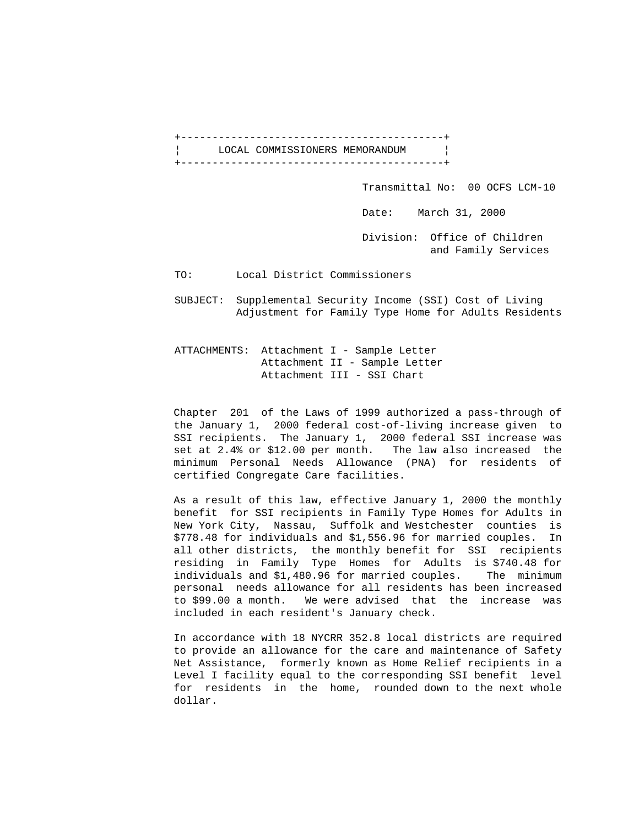+------------------------------------------+ LOCAL COMMISSIONERS MEMORANDUM | +------------------------------------------+

Transmittal No: 00 OCFS LCM-10

Date: March 31, 2000

 Division: Office of Children and Family Services

TO: Local District Commissioners

 SUBJECT: Supplemental Security Income (SSI) Cost of Living Adjustment for Family Type Home for Adults Residents

ATTACHMENTS: Attachment I - Sample Letter Attachment II - Sample Letter Attachment III - SSI Chart

 Chapter 201 of the Laws of 1999 authorized a pass-through of the January 1, 2000 federal cost-of-living increase given to SSI recipients. The January 1, 2000 federal SSI increase was set at 2.4% or \$12.00 per month. The law also increased the minimum Personal Needs Allowance (PNA) for residents of certified Congregate Care facilities.

 As a result of this law, effective January 1, 2000 the monthly benefit for SSI recipients in Family Type Homes for Adults in New York City, Nassau, Suffolk and Westchester counties is \$778.48 for individuals and \$1,556.96 for married couples. In all other districts, the monthly benefit for SSI recipients residing in Family Type Homes for Adults is \$740.48 for individuals and \$1,480.96 for married couples. The minimum personal needs allowance for all residents has been increased to \$99.00 a month. We were advised that the increase was included in each resident's January check.

 In accordance with 18 NYCRR 352.8 local districts are required to provide an allowance for the care and maintenance of Safety Net Assistance, formerly known as Home Relief recipients in a Level I facility equal to the corresponding SSI benefit level for residents in the home, rounded down to the next whole dollar.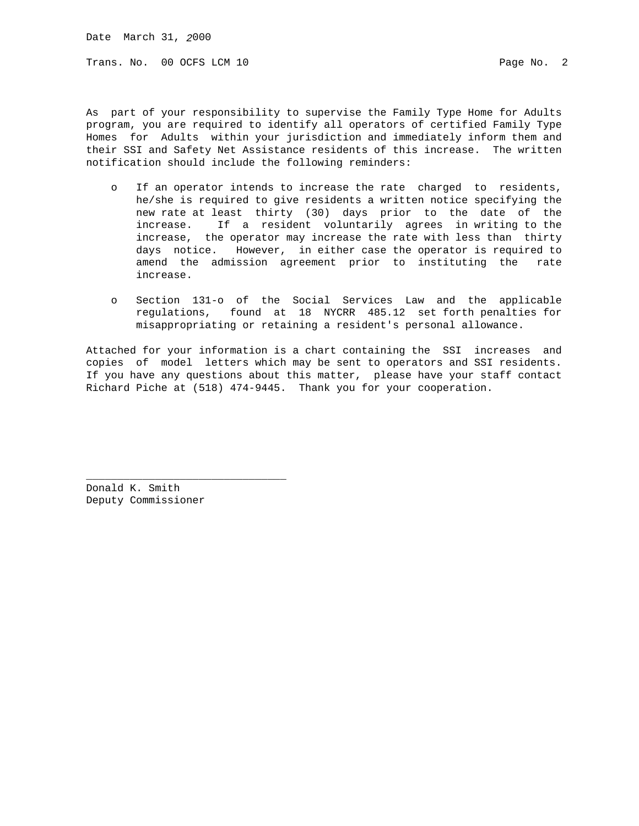Date March 31, *2*000

Trans. No. 00 OCFS LCM 10 **Page No. 2** Page No. 2

As part of your responsibility to supervise the Family Type Home for Adults program, you are required to identify all operators of certified Family Type Homes for Adults within your jurisdiction and immediately inform them and their SSI and Safety Net Assistance residents of this increase. The written notification should include the following reminders:

- o If an operator intends to increase the rate charged to residents, he/she is required to give residents a written notice specifying the new rate at least thirty (30) days prior to the date of the increase. If a resident voluntarily agrees in writing to the increase, the operator may increase the rate with less than thirty days notice. However, in either case the operator is required to amend the admission agreement prior to instituting the rate increase.
- o Section 131-o of the Social Services Law and the applicable regulations, found at 18 NYCRR 485.12 set forth penalties for misappropriating or retaining a resident's personal allowance.

Attached for your information is a chart containing the SSI increases and copies of model letters which may be sent to operators and SSI residents. If you have any questions about this matter, please have your staff contact Richard Piche at (518) 474-9445. Thank you for your cooperation.

Donald K. Smith Deputy Commissioner

\_\_\_\_\_\_\_\_\_\_\_\_\_\_\_\_\_\_\_\_\_\_\_\_\_\_\_\_\_\_\_\_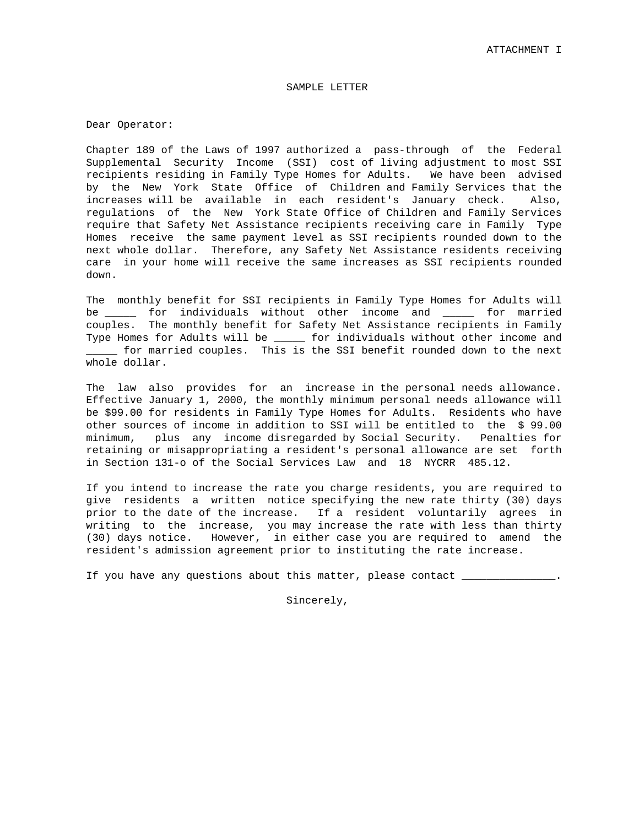## SAMPLE LETTER

Dear Operator:

Chapter 189 of the Laws of 1997 authorized a pass-through of the Federal Supplemental Security Income (SSI) cost of living adjustment to most SSI recipients residing in Family Type Homes for Adults. We have been advised by the New York State Office of Children and Family Services that the increases will be available in each resident's January check. Also, regulations of the New York State Office of Children and Family Services require that Safety Net Assistance recipients receiving care in Family Type Homes receive the same payment level as SSI recipients rounded down to the next whole dollar. Therefore, any Safety Net Assistance residents receiving care in your home will receive the same increases as SSI recipients rounded down.

The monthly benefit for SSI recipients in Family Type Homes for Adults will be \_\_\_\_\_ for individuals without other income and \_\_\_\_\_ for married couples. The monthly benefit for Safety Net Assistance recipients in Family Type Homes for Adults will be \_\_\_\_\_ for individuals without other income and \_\_\_\_\_ for married couples. This is the SSI benefit rounded down to the next whole dollar.

The law also provides for an increase in the personal needs allowance. Effective January 1, 2000, the monthly minimum personal needs allowance will be \$99.00 for residents in Family Type Homes for Adults. Residents who have other sources of income in addition to SSI will be entitled to the \$ 99.00 minimum, plus any income disregarded by Social Security. Penalties for retaining or misappropriating a resident's personal allowance are set forth in Section 131-o of the Social Services Law and 18 NYCRR 485.12.

If you intend to increase the rate you charge residents, you are required to give residents a written notice specifying the new rate thirty (30) days prior to the date of the increase. If a resident voluntarily agrees in writing to the increase, you may increase the rate with less than thirty (30) days notice. However, in either case you are required to amend the resident's admission agreement prior to instituting the rate increase.

If you have any questions about this matter, please contact \_\_\_\_\_\_\_\_\_\_\_\_\_\_\_\_\_\_\_\_

Sincerely,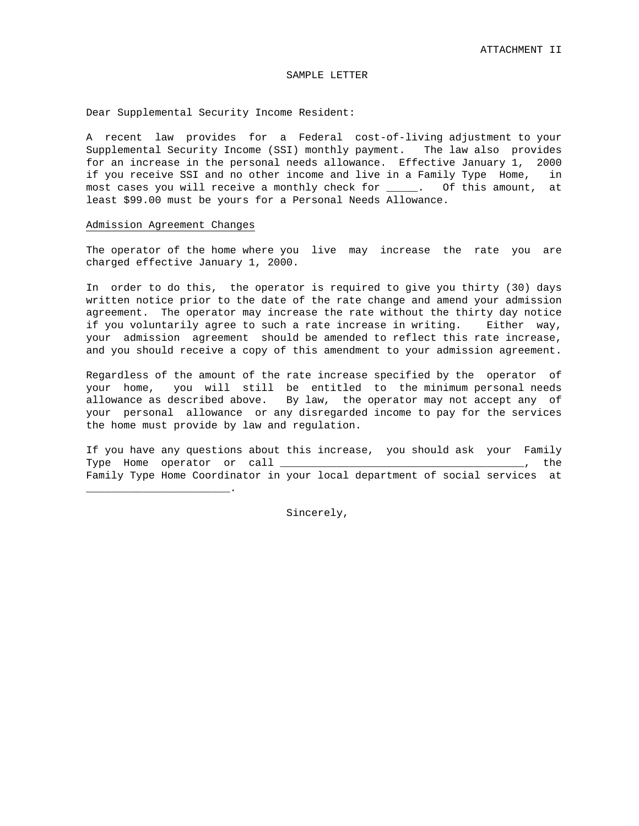## SAMPLE LETTER

Dear Supplemental Security Income Resident:

A recent law provides for a Federal cost-of-living adjustment to your Supplemental Security Income (SSI) monthly payment. The law also provides for an increase in the personal needs allowance. Effective January 1, 2000 if you receive SSI and no other income and live in a Family Type Home, in most cases you will receive a monthly check for \_\_\_\_\_. Of this amount, at least \$99.00 must be yours for a Personal Needs Allowance.

## Admission Agreement Changes

\_\_\_\_\_\_\_\_\_\_\_\_\_\_\_\_\_\_\_\_\_\_\_.

The operator of the home where you live may increase the rate you are charged effective January 1, 2000.

In order to do this, the operator is required to give you thirty (30) days written notice prior to the date of the rate change and amend your admission agreement. The operator may increase the rate without the thirty day notice if you voluntarily agree to such a rate increase in writing. Either way, your admission agreement should be amended to reflect this rate increase, and you should receive a copy of this amendment to your admission agreement.

Regardless of the amount of the rate increase specified by the operator of your home, you will still be entitled to the minimum personal needs allowance as described above. By law, the operator may not accept any of your personal allowance or any disregarded income to pay for the services the home must provide by law and regulation.

If you have any questions about this increase, you should ask your Family Type Home operator or call \_\_\_\_\_\_\_\_\_\_\_\_\_\_\_\_\_\_\_\_\_\_\_\_\_\_\_\_\_\_\_\_\_\_\_\_\_\_\_, the Family Type Home Coordinator in your local department of social services at

Sincerely,